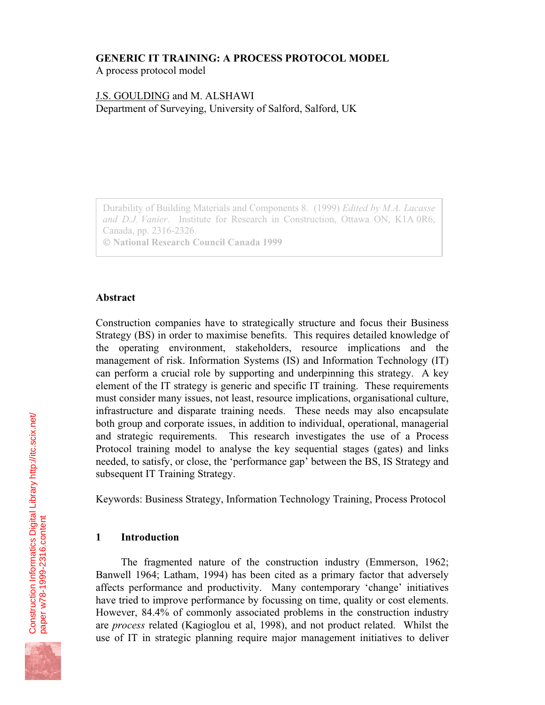## **GENERIC IT TRAINING: A PROCESS PROTOCOL MODEL**

A process protocol model

# J.S. GOULDING and M. ALSHAWI Department of Surveying, University of Salford, Salford, UK

Durability of Building Materials and Components 8. (1999) *Edited by M.A. Lacasse and D.J. Vanier*. Institute for Research in Construction, Ottawa ON, K1A 0R6, Canada, pp. 2316-2326.  **National Research Council Canada 1999**

### **Abstract**

Construction companies have to strategically structure and focus their Business Strategy (BS) in order to maximise benefits. This requires detailed knowledge of the operating environment, stakeholders, resource implications and the management of risk. Information Systems (IS) and Information Technology (IT) can perform a crucial role by supporting and underpinning this strategy. A key element of the IT strategy is generic and specific IT training. These requirements must consider many issues, not least, resource implications, organisational culture, infrastructure and disparate training needs. These needs may also encapsulate both group and corporate issues, in addition to individual, operational, managerial and strategic requirements. This research investigates the use of a Process Protocol training model to analyse the key sequential stages (gates) and links needed, to satisfy, or close, the 'performance gap' between the BS, IS Strategy and subsequent IT Training Strategy.

Keywords: Business Strategy, Information Technology Training, Process Protocol

## **1 Introduction**

The fragmented nature of the construction industry (Emmerson, 1962; Banwell 1964; Latham, 1994) has been cited as a primary factor that adversely affects performance and productivity. Many contemporary 'change' initiatives have tried to improve performance by focussing on time, quality or cost elements. However, 84.4% of commonly associated problems in the construction industry are *process* related (Kagioglou et al, 1998), and not product related. Whilst the use of IT in strategic planning require major management initiatives to deliver

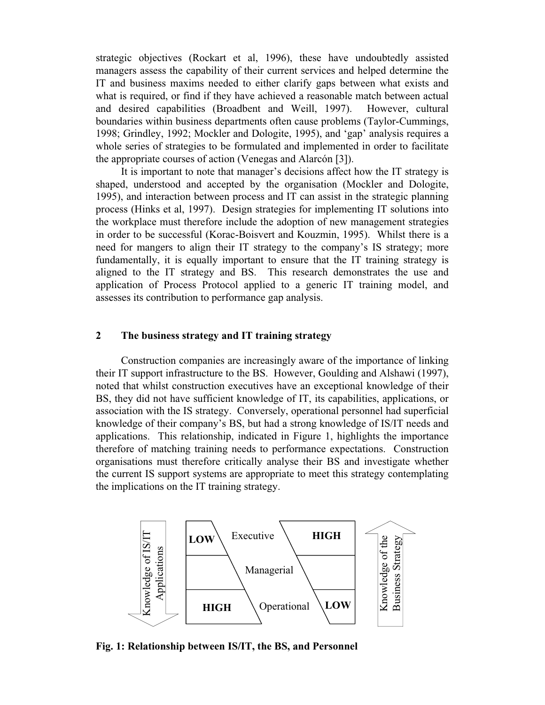strategic objectives (Rockart et al, 1996), these have undoubtedly assisted managers assess the capability of their current services and helped determine the IT and business maxims needed to either clarify gaps between what exists and what is required, or find if they have achieved a reasonable match between actual and desired capabilities (Broadbent and Weill, 1997). However, cultural boundaries within business departments often cause problems (Taylor-Cummings, 1998; Grindley, 1992; Mockler and Dologite, 1995), and 'gap' analysis requires a whole series of strategies to be formulated and implemented in order to facilitate the appropriate courses of action (Venegas and Alarcón [3]).

It is important to note that manager's decisions affect how the IT strategy is shaped, understood and accepted by the organisation (Mockler and Dologite, 1995), and interaction between process and IT can assist in the strategic planning process (Hinks et al, 1997). Design strategies for implementing IT solutions into the workplace must therefore include the adoption of new management strategies in order to be successful (Korac-Boisvert and Kouzmin, 1995). Whilst there is a need for mangers to align their IT strategy to the company's IS strategy; more fundamentally, it is equally important to ensure that the IT training strategy is aligned to the IT strategy and BS. This research demonstrates the use and application of Process Protocol applied to a generic IT training model, and assesses its contribution to performance gap analysis.

### **2 The business strategy and IT training strategy**

Construction companies are increasingly aware of the importance of linking their IT support infrastructure to the BS. However, Goulding and Alshawi (1997), noted that whilst construction executives have an exceptional knowledge of their BS, they did not have sufficient knowledge of IT, its capabilities, applications, or association with the IS strategy. Conversely, operational personnel had superficial knowledge of their company's BS, but had a strong knowledge of IS/IT needs and applications. This relationship, indicated in Figure 1, highlights the importance therefore of matching training needs to performance expectations. Construction organisations must therefore critically analyse their BS and investigate whether the current IS support systems are appropriate to meet this strategy contemplating the implications on the IT training strategy.



**Fig. 1: Relationship between IS/IT, the BS, and Personnel**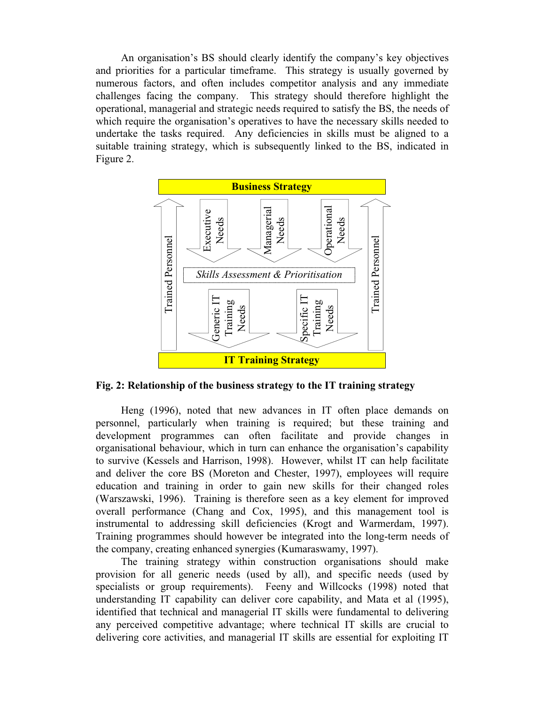An organisation's BS should clearly identify the company's key objectives and priorities for a particular timeframe. This strategy is usually governed by numerous factors, and often includes competitor analysis and any immediate challenges facing the company. This strategy should therefore highlight the operational, managerial and strategic needs required to satisfy the BS, the needs of which require the organisation's operatives to have the necessary skills needed to undertake the tasks required. Any deficiencies in skills must be aligned to a suitable training strategy, which is subsequently linked to the BS, indicated in Figure 2.



**Fig. 2: Relationship of the business strategy to the IT training strategy**

Heng (1996), noted that new advances in IT often place demands on personnel, particularly when training is required; but these training and development programmes can often facilitate and provide changes in organisational behaviour, which in turn can enhance the organisation's capability to survive (Kessels and Harrison, 1998). However, whilst IT can help facilitate and deliver the core BS (Moreton and Chester, 1997), employees will require education and training in order to gain new skills for their changed roles (Warszawski, 1996). Training is therefore seen as a key element for improved overall performance (Chang and Cox, 1995), and this management tool is instrumental to addressing skill deficiencies (Krogt and Warmerdam, 1997). Training programmes should however be integrated into the long-term needs of the company, creating enhanced synergies (Kumaraswamy, 1997).

The training strategy within construction organisations should make provision for all generic needs (used by all), and specific needs (used by specialists or group requirements). Feeny and Willcocks (1998) noted that understanding IT capability can deliver core capability, and Mata et al (1995), identified that technical and managerial IT skills were fundamental to delivering any perceived competitive advantage; where technical IT skills are crucial to delivering core activities, and managerial IT skills are essential for exploiting IT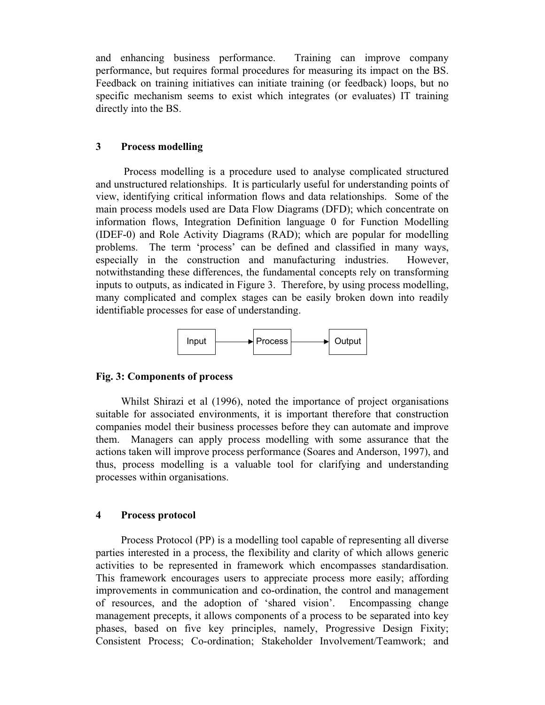and enhancing business performance. Training can improve company performance, but requires formal procedures for measuring its impact on the BS. Feedback on training initiatives can initiate training (or feedback) loops, but no specific mechanism seems to exist which integrates (or evaluates) IT training directly into the BS.

## **3 Process modelling**

Process modelling is a procedure used to analyse complicated structured and unstructured relationships. It is particularly useful for understanding points of view, identifying critical information flows and data relationships. Some of the main process models used are Data Flow Diagrams (DFD); which concentrate on information flows, Integration Definition language 0 for Function Modelling (IDEF-0) and Role Activity Diagrams (RAD); which are popular for modelling problems. The term 'process' can be defined and classified in many ways, especially in the construction and manufacturing industries. However, notwithstanding these differences, the fundamental concepts rely on transforming inputs to outputs, as indicated in Figure 3. Therefore, by using process modelling, many complicated and complex stages can be easily broken down into readily identifiable processes for ease of understanding.



## **Fig. 3: Components of process**

Whilst Shirazi et al (1996), noted the importance of project organisations suitable for associated environments, it is important therefore that construction companies model their business processes before they can automate and improve them. Managers can apply process modelling with some assurance that the actions taken will improve process performance (Soares and Anderson, 1997), and thus, process modelling is a valuable tool for clarifying and understanding processes within organisations.

#### **4 Process protocol**

Process Protocol (PP) is a modelling tool capable of representing all diverse parties interested in a process, the flexibility and clarity of which allows generic activities to be represented in framework which encompasses standardisation. This framework encourages users to appreciate process more easily; affording improvements in communication and co-ordination, the control and management of resources, and the adoption of 'shared vision'. Encompassing change management precepts, it allows components of a process to be separated into key phases, based on five key principles, namely, Progressive Design Fixity; Consistent Process; Co-ordination; Stakeholder Involvement/Teamwork; and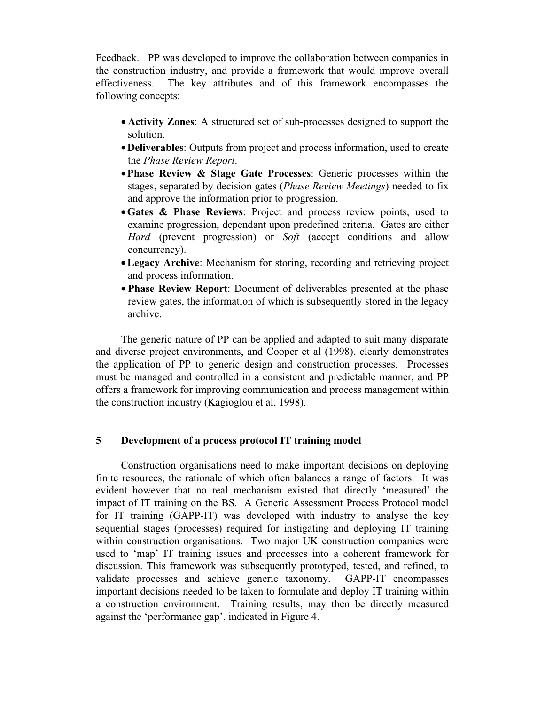Feedback. PP was developed to improve the collaboration between companies in the construction industry, and provide a framework that would improve overall effectiveness. The key attributes and of this framework encompasses the following concepts:

- **Activity Zones**: A structured set of sub-processes designed to support the solution.
- •**Deliverables**: Outputs from project and process information, used to create the *Phase Review Report*.
- •**Phase Review & Stage Gate Processes**: Generic processes within the stages, separated by decision gates (*Phase Review Meetings*) needed to fix and approve the information prior to progression.
- •**Gates & Phase Reviews**: Project and process review points, used to examine progression, dependant upon predefined criteria. Gates are either *Hard* (prevent progression) or *Soft* (accept conditions and allow concurrency).
- •**Legacy Archive**: Mechanism for storing, recording and retrieving project and process information.
- **Phase Review Report**: Document of deliverables presented at the phase review gates, the information of which is subsequently stored in the legacy archive.

The generic nature of PP can be applied and adapted to suit many disparate and diverse project environments, and Cooper et al (1998), clearly demonstrates the application of PP to generic design and construction processes. Processes must be managed and controlled in a consistent and predictable manner, and PP offers a framework for improving communication and process management within the construction industry (Kagioglou et al, 1998).

## **5 Development of a process protocol IT training model**

Construction organisations need to make important decisions on deploying finite resources, the rationale of which often balances a range of factors. It was evident however that no real mechanism existed that directly 'measured' the impact of IT training on the BS. A Generic Assessment Process Protocol model for IT training (GAPP-IT) was developed with industry to analyse the key sequential stages (processes) required for instigating and deploying IT training within construction organisations. Two major UK construction companies were used to 'map' IT training issues and processes into a coherent framework for discussion. This framework was subsequently prototyped, tested, and refined, to validate processes and achieve generic taxonomy. GAPP-IT encompasses important decisions needed to be taken to formulate and deploy IT training within a construction environment. Training results, may then be directly measured against the 'performance gap', indicated in Figure 4.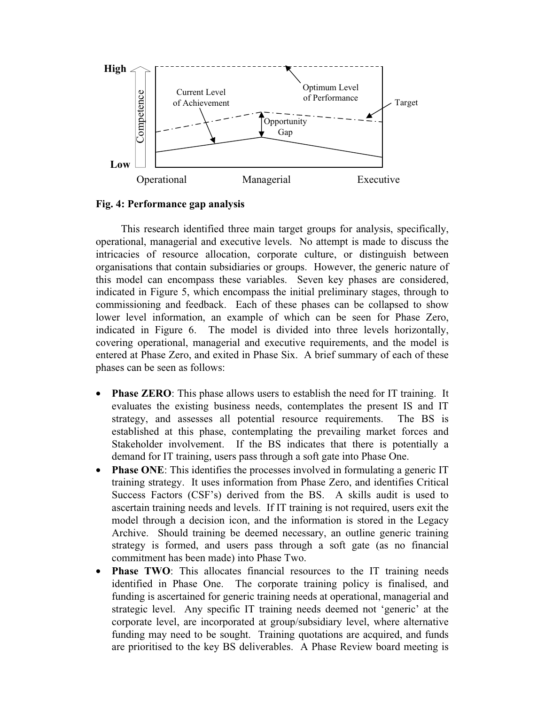

**Fig. 4: Performance gap analysis**

This research identified three main target groups for analysis, specifically, operational, managerial and executive levels. No attempt is made to discuss the intricacies of resource allocation, corporate culture, or distinguish between organisations that contain subsidiaries or groups. However, the generic nature of this model can encompass these variables. Seven key phases are considered, indicated in Figure 5, which encompass the initial preliminary stages, through to commissioning and feedback. Each of these phases can be collapsed to show lower level information, an example of which can be seen for Phase Zero, indicated in Figure 6. The model is divided into three levels horizontally, covering operational, managerial and executive requirements, and the model is entered at Phase Zero, and exited in Phase Six. A brief summary of each of these phases can be seen as follows:

- **Phase ZERO:** This phase allows users to establish the need for IT training. It evaluates the existing business needs, contemplates the present IS and IT strategy, and assesses all potential resource requirements. The BS is established at this phase, contemplating the prevailing market forces and Stakeholder involvement. If the BS indicates that there is potentially a demand for IT training, users pass through a soft gate into Phase One.
- **Phase ONE:** This identifies the processes involved in formulating a generic IT training strategy. It uses information from Phase Zero, and identifies Critical Success Factors (CSF's) derived from the BS. A skills audit is used to ascertain training needs and levels. If IT training is not required, users exit the model through a decision icon, and the information is stored in the Legacy Archive. Should training be deemed necessary, an outline generic training strategy is formed, and users pass through a soft gate (as no financial commitment has been made) into Phase Two.
- **Phase TWO**: This allocates financial resources to the IT training needs identified in Phase One. The corporate training policy is finalised, and funding is ascertained for generic training needs at operational, managerial and strategic level. Any specific IT training needs deemed not 'generic' at the corporate level, are incorporated at group/subsidiary level, where alternative funding may need to be sought. Training quotations are acquired, and funds are prioritised to the key BS deliverables. A Phase Review board meeting is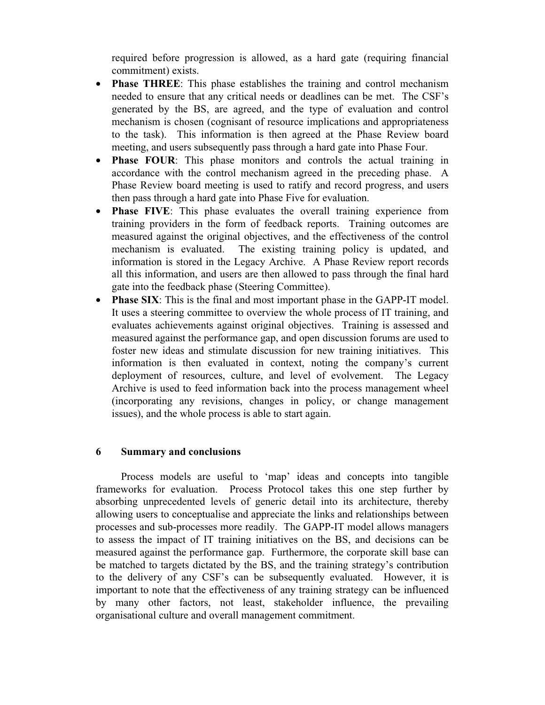required before progression is allowed, as a hard gate (requiring financial commitment) exists.

- **Phase THREE**: This phase establishes the training and control mechanism needed to ensure that any critical needs or deadlines can be met. The CSF's generated by the BS, are agreed, and the type of evaluation and control mechanism is chosen (cognisant of resource implications and appropriateness to the task). This information is then agreed at the Phase Review board meeting, and users subsequently pass through a hard gate into Phase Four.
- **Phase FOUR**: This phase monitors and controls the actual training in accordance with the control mechanism agreed in the preceding phase. A Phase Review board meeting is used to ratify and record progress, and users then pass through a hard gate into Phase Five for evaluation.
- **Phase FIVE**: This phase evaluates the overall training experience from training providers in the form of feedback reports. Training outcomes are measured against the original objectives, and the effectiveness of the control mechanism is evaluated. The existing training policy is updated, and information is stored in the Legacy Archive. A Phase Review report records all this information, and users are then allowed to pass through the final hard gate into the feedback phase (Steering Committee).
- **Phase SIX:** This is the final and most important phase in the GAPP-IT model. It uses a steering committee to overview the whole process of IT training, and evaluates achievements against original objectives. Training is assessed and measured against the performance gap, and open discussion forums are used to foster new ideas and stimulate discussion for new training initiatives. This information is then evaluated in context, noting the company's current deployment of resources, culture, and level of evolvement. The Legacy Archive is used to feed information back into the process management wheel (incorporating any revisions, changes in policy, or change management issues), and the whole process is able to start again.

#### **6 Summary and conclusions**

Process models are useful to 'map' ideas and concepts into tangible frameworks for evaluation. Process Protocol takes this one step further by absorbing unprecedented levels of generic detail into its architecture, thereby allowing users to conceptualise and appreciate the links and relationships between processes and sub-processes more readily. The GAPP-IT model allows managers to assess the impact of IT training initiatives on the BS, and decisions can be measured against the performance gap. Furthermore, the corporate skill base can be matched to targets dictated by the BS, and the training strategy's contribution to the delivery of any CSF's can be subsequently evaluated. However, it is important to note that the effectiveness of any training strategy can be influenced by many other factors, not least, stakeholder influence, the prevailing organisational culture and overall management commitment.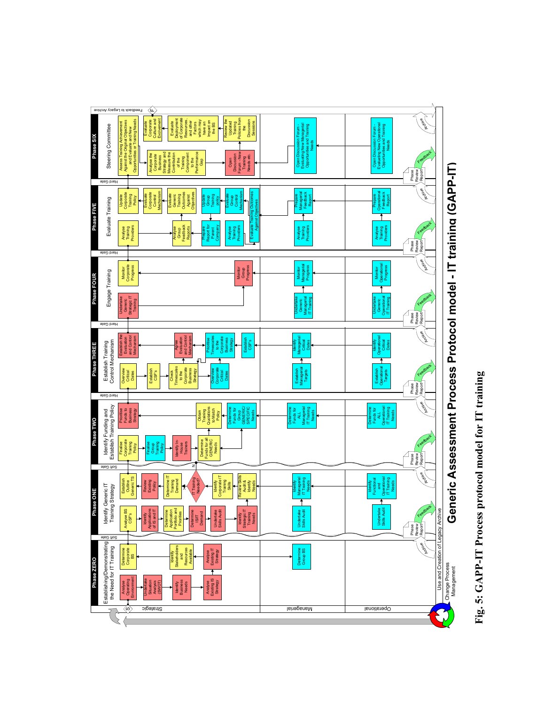

Fig. 5: GAPP-IT Process protocol model for IT training **Fig. 5: GAPP-IT Process protocol model for IT training**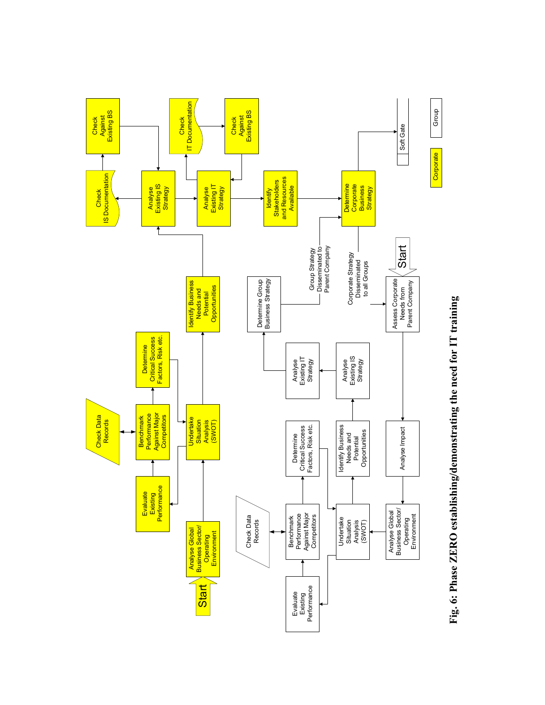

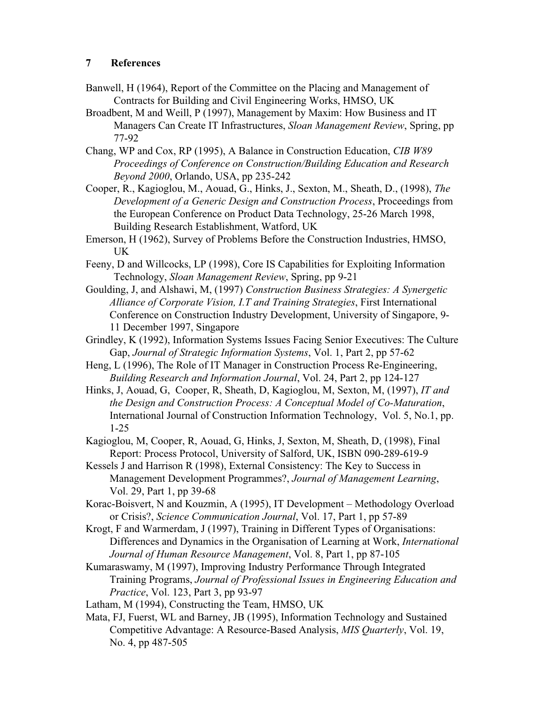- Banwell, H (1964), Report of the Committee on the Placing and Management of Contracts for Building and Civil Engineering Works, HMSO, UK
- Broadbent, M and Weill, P (1997), Management by Maxim: How Business and IT Managers Can Create IT Infrastructures, *Sloan Management Review*, Spring, pp 77-92

Chang, WP and Cox, RP (1995), A Balance in Construction Education, *CIB W89 Proceedings of Conference on Construction/Building Education and Research Beyond 2000*, Orlando, USA, pp 235-242

Cooper, R., Kagioglou, M., Aouad, G., Hinks, J., Sexton, M., Sheath, D., (1998), *The Development of a Generic Design and Construction Process*, Proceedings from the European Conference on Product Data Technology, 25-26 March 1998, Building Research Establishment, Watford, UK

Emerson, H (1962), Survey of Problems Before the Construction Industries, HMSO, UK

Feeny, D and Willcocks, LP (1998), Core IS Capabilities for Exploiting Information Technology, *Sloan Management Review*, Spring, pp 9-21

Goulding, J, and Alshawi, M, (1997) *Construction Business Strategies: A Synergetic Alliance of Corporate Vision, I.T and Training Strategies*, First International Conference on Construction Industry Development, University of Singapore, 9- 11 December 1997, Singapore

Grindley, K (1992), Information Systems Issues Facing Senior Executives: The Culture Gap, *Journal of Strategic Information Systems*, Vol. 1, Part 2, pp 57-62

Heng, L (1996), The Role of IT Manager in Construction Process Re-Engineering, *Building Research and Information Journal*, Vol. 24, Part 2, pp 124-127

Hinks, J, Aouad, G, Cooper, R, Sheath, D, Kagioglou, M, Sexton, M, (1997), *IT and the Design and Construction Process: A Conceptual Model of Co-Maturation*, International Journal of Construction Information Technology, Vol. 5, No.1, pp. 1-25

Kagioglou, M, Cooper, R, Aouad, G, Hinks, J, Sexton, M, Sheath, D, (1998), Final Report: Process Protocol, University of Salford, UK, ISBN 090-289-619-9

Kessels J and Harrison R (1998), External Consistency: The Key to Success in Management Development Programmes?, *Journal of Management Learning*, Vol. 29, Part 1, pp 39-68

Korac-Boisvert, N and Kouzmin, A (1995), IT Development – Methodology Overload or Crisis?, *Science Communication Journal*, Vol. 17, Part 1, pp 57-89

Krogt, F and Warmerdam, J (1997), Training in Different Types of Organisations: Differences and Dynamics in the Organisation of Learning at Work, *International Journal of Human Resource Management*, Vol. 8, Part 1, pp 87-105

Kumaraswamy, M (1997), Improving Industry Performance Through Integrated Training Programs, *Journal of Professional Issues in Engineering Education and Practice*, Vol. 123, Part 3, pp 93-97

Latham, M (1994), Constructing the Team, HMSO, UK

Mata, FJ, Fuerst, WL and Barney, JB (1995), Information Technology and Sustained Competitive Advantage: A Resource-Based Analysis, *MIS Quarterly*, Vol. 19, No. 4, pp 487-505